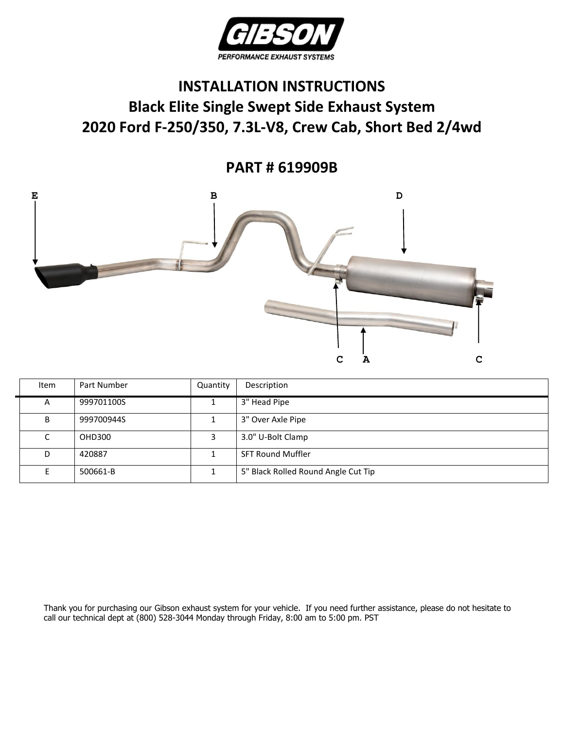

## **INSTALLATION INSTRUCTIONS Black Elite Single Swept Side Exhaust System 2020 Ford F-250/350, 7.3L-V8, Crew Cab, Short Bed 2/4wd**

**PART # 619909B**



| Item | Part Number | Quantity | Description                         |
|------|-------------|----------|-------------------------------------|
| A    | 999701100S  |          | 3" Head Pipe                        |
| B    | 999700944S  |          | 3" Over Axle Pipe                   |
| C    | OHD300      |          | 3.0" U-Bolt Clamp                   |
| D    | 420887      |          | <b>SFT Round Muffler</b>            |
|      | 500661-B    |          | 5" Black Rolled Round Angle Cut Tip |

Thank you for purchasing our Gibson exhaust system for your vehicle. If you need further assistance, please do not hesitate to call our technical dept at (800) 528-3044 Monday through Friday, 8:00 am to 5:00 pm. PST